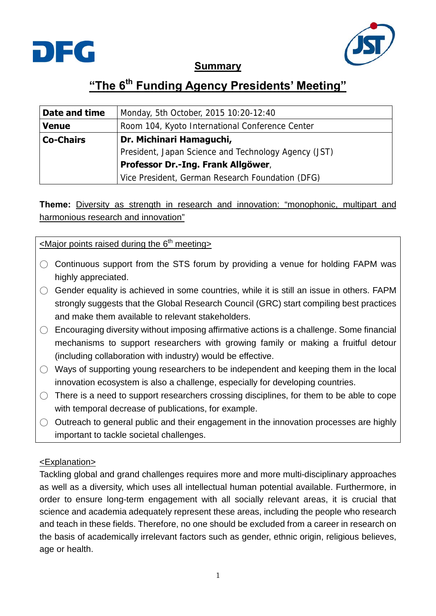



## **Summary**

# **"The 6th Funding Agency Presidents' Meeting"**

| Date and time    | Monday, 5th October, 2015 10:20-12:40                |
|------------------|------------------------------------------------------|
| <b>Venue</b>     | Room 104, Kyoto International Conference Center      |
| <b>Co-Chairs</b> | Dr. Michinari Hamaguchi,                             |
|                  | President, Japan Science and Technology Agency (JST) |
|                  | Professor Dr.-Ing. Frank Allgöwer,                   |
|                  | Vice President, German Research Foundation (DFG)     |

**Theme:** Diversity as strength in research and innovation: "monophonic, multipart and harmonious research and innovation"

## $\leq$ Major points raised during the  $6<sup>th</sup>$  meeting  $\geq$

- $\bigcirc$  Continuous support from the STS forum by providing a venue for holding FAPM was highly appreciated.
- Gender equality is achieved in some countries, while it is still an issue in others. FAPM strongly suggests that the Global Research Council (GRC) start compiling best practices and make them available to relevant stakeholders.
- $\bigcirc$  Encouraging diversity without imposing affirmative actions is a challenge. Some financial mechanisms to support researchers with growing family or making a fruitful detour (including collaboration with industry) would be effective.
- $\bigcirc$  Ways of supporting young researchers to be independent and keeping them in the local innovation ecosystem is also a challenge, especially for developing countries.
- $\bigcirc$  There is a need to support researchers crossing disciplines, for them to be able to cope with temporal decrease of publications, for example.
- $\bigcirc$  Outreach to general public and their engagement in the innovation processes are highly important to tackle societal challenges.

### <Explanation>

Tackling global and grand challenges requires more and more multi-disciplinary approaches as well as a diversity, which uses all intellectual human potential available. Furthermore, in order to ensure long-term engagement with all socially relevant areas, it is crucial that science and academia adequately represent these areas, including the people who research and teach in these fields. Therefore, no one should be excluded from a career in research on the basis of academically irrelevant factors such as gender, ethnic origin, religious believes, age or health.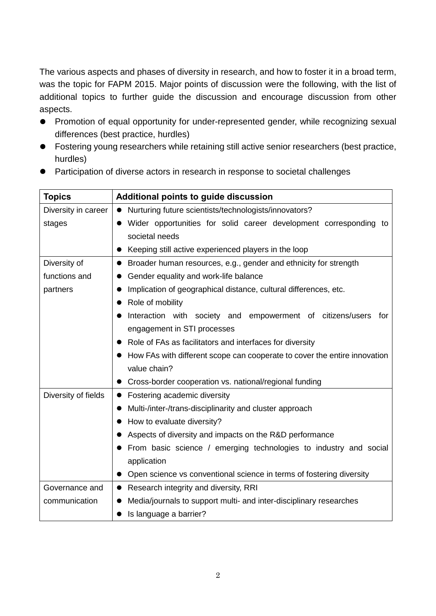The various aspects and phases of diversity in research, and how to foster it in a broad term, was the topic for FAPM 2015. Major points of discussion were the following, with the list of additional topics to further guide the discussion and encourage discussion from other aspects.

- Promotion of equal opportunity for under-represented gender, while recognizing sexual differences (best practice, hurdles)
- Fostering young researchers while retaining still active senior researchers (best practice, hurdles)
- Participation of diverse actors in research in response to societal challenges

| <b>Topics</b>       | Additional points to guide discussion                                         |
|---------------------|-------------------------------------------------------------------------------|
| Diversity in career | Nurturing future scientists/technologists/innovators?                         |
| stages              | Wider opportunities for solid career development corresponding to             |
|                     | societal needs                                                                |
|                     | Keeping still active experienced players in the loop                          |
| Diversity of        | Broader human resources, e.g., gender and ethnicity for strength<br>$\bullet$ |
| functions and       | Gender equality and work-life balance                                         |
| partners            | Implication of geographical distance, cultural differences, etc.              |
|                     | Role of mobility                                                              |
|                     | Interaction with society and empowerment of citizens/users<br>for             |
|                     | engagement in STI processes                                                   |
|                     | Role of FAs as facilitators and interfaces for diversity                      |
|                     | How FAs with different scope can cooperate to cover the entire innovation     |
|                     | value chain?                                                                  |
|                     | • Cross-border cooperation vs. national/regional funding                      |
| Diversity of fields | • Fostering academic diversity                                                |
|                     | Multi-/inter-/trans-disciplinarity and cluster approach                       |
|                     | How to evaluate diversity?                                                    |
|                     | Aspects of diversity and impacts on the R&D performance                       |
|                     | From basic science / emerging technologies to industry and social             |
|                     | application                                                                   |
|                     | • Open science vs conventional science in terms of fostering diversity        |
| Governance and      | • Research integrity and diversity, RRI                                       |
| communication       | Media/journals to support multi- and inter-disciplinary researches            |
|                     | Is language a barrier?                                                        |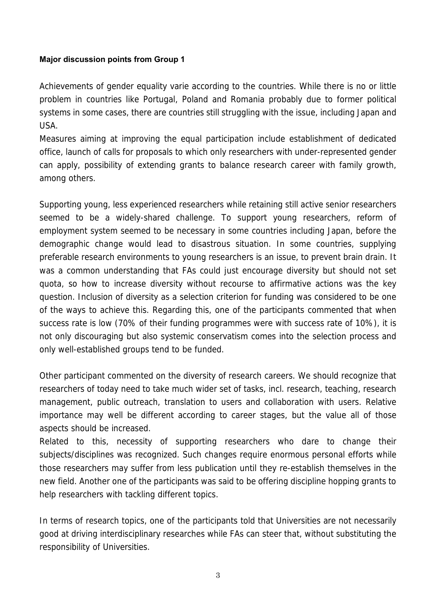#### **Major discussion points from Group 1**

Achievements of gender equality varie according to the countries. While there is no or little problem in countries like Portugal, Poland and Romania probably due to former political systems in some cases, there are countries still struggling with the issue, including Japan and USA.

Measures aiming at improving the equal participation include establishment of dedicated office, launch of calls for proposals to which only researchers with under-represented gender can apply, possibility of extending grants to balance research career with family growth, among others.

Supporting young, less experienced researchers while retaining still active senior researchers seemed to be a widely-shared challenge. To support young researchers, reform of employment system seemed to be necessary in some countries including Japan, before the demographic change would lead to disastrous situation. In some countries, supplying preferable research environments to young researchers is an issue, to prevent brain drain. It was a common understanding that FAs could just encourage diversity but should not set quota, so how to increase diversity without recourse to affirmative actions was the key question. Inclusion of diversity as a selection criterion for funding was considered to be one of the ways to achieve this. Regarding this, one of the participants commented that when success rate is low (70% of their funding programmes were with success rate of 10%), it is not only discouraging but also systemic conservatism comes into the selection process and only well-established groups tend to be funded.

Other participant commented on the diversity of research careers. We should recognize that researchers of today need to take much wider set of tasks, incl. research, teaching, research management, public outreach, translation to users and collaboration with users. Relative importance may well be different according to career stages, but the value all of those aspects should be increased.

Related to this, necessity of supporting researchers who dare to change their subjects/disciplines was recognized. Such changes require enormous personal efforts while those researchers may suffer from less publication until they re-establish themselves in the new field. Another one of the participants was said to be offering discipline hopping grants to help researchers with tackling different topics.

In terms of research topics, one of the participants told that Universities are not necessarily good at driving interdisciplinary researches while FAs can steer that, without substituting the responsibility of Universities.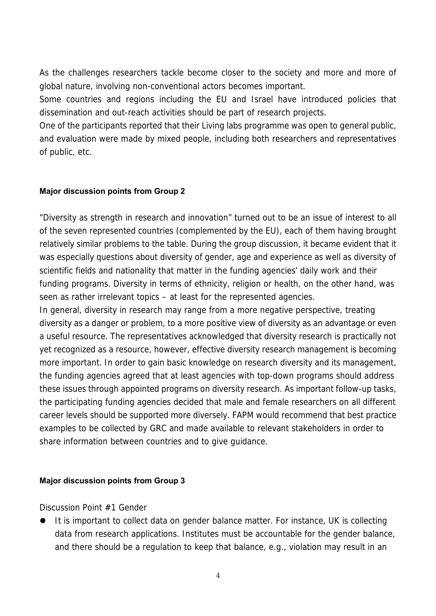As the challenges researchers tackle become closer to the society and more and more of global nature, involving non-conventional actors becomes important.

Some countries and regions including the EU and Israel have introduced policies that dissemination and out-reach activities should be part of research projects.

One of the participants reported that their Living labs programme was open to general public, and evaluation were made by mixed people, including both researchers and representatives of public, etc.

#### **Major discussion points from Group 2**

"Diversity as strength in research and innovation" turned out to be an issue of interest to all of the seven represented countries (complemented by the EU), each of them having brought relatively similar problems to the table. During the group discussion, it became evident that it was especially questions about diversity of gender, age and experience as well as diversity of scientific fields and nationality that matter in the funding agencies' daily work and their funding programs. Diversity in terms of ethnicity, religion or health, on the other hand, was seen as rather irrelevant topics – at least for the represented agencies.

In general, diversity in research may range from a more negative perspective, treating diversity as a danger or problem, to a more positive view of diversity as an advantage or even a useful resource. The representatives acknowledged that diversity research is practically not yet recognized as a resource, however, effective diversity research management is becoming more important. In order to gain basic knowledge on research diversity and its management, the funding agencies agreed that at least agencies with top-down programs should address these issues through appointed programs on diversity research. As important follow-up tasks, the participating funding agencies decided that male and female researchers on all different career levels should be supported more diversely. FAPM would recommend that best practice examples to be collected by GRC and made available to relevant stakeholders in order to share information between countries and to give guidance.

#### **Major discussion points from Group 3**

#### Discussion Point #1 Gender

It is important to collect data on gender balance matter. For instance, UK is collecting data from research applications. Institutes must be accountable for the gender balance, and there should be a regulation to keep that balance, e.g., violation may result in an